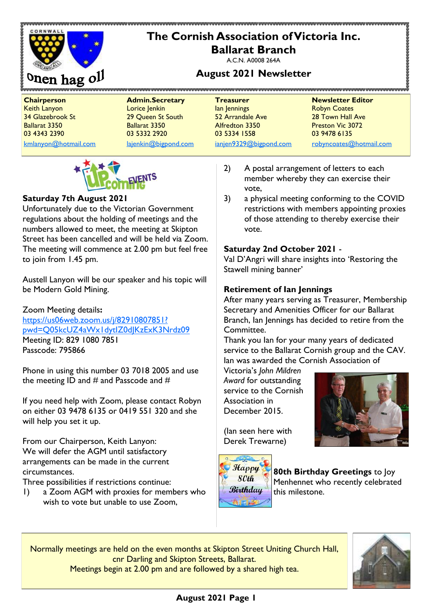

Keith Lanyon Lorice Jenkin Ian Jennings Robyn Coates 34 Glazebrook St 29 Queen St South 52 Arrandale Ave 28 Town Hall Ave Ballarat 3350 Ballarat 3350 Alfredton 3350 Preston Vic 3072

03 4343 2390 03 5332 2920 03 5334 1558 03 9478 6135

**Chairperson Admin.Secretary Treasurer Newsletter Editor** [kmlanyon@hotmail.com](mailto:kmlanyon@hotmail.com) [lajenkin@bigpond.com](mailto:lajenkin@bigpond.com) [ianjen9329@bigpond.com](mailto:ianjen9329@bigpond.com) [robyncoates@hotmail.com](mailto:robynjcoates@iinet.net.au)



#### **Saturday 7th August 2021**

Unfortunately due to the Victorian Government regulations about the holding of meetings and the numbers allowed to meet, the meeting at Skipton Street has been cancelled and will be held via Zoom. The meeting will commence at 2.00 pm but feel free to join from 1.45 pm.

Austell Lanyon will be our speaker and his topic will be Modern Gold Mining.

Zoom Meeting details**:** [https://us06web.zoom.us/j/82910807851?](https://us06web.zoom.us/j/82910807851?pwd=Q05kcUZ4aWx1dytIZ0dJKzExK3Nrdz09) [pwd=Q05kcUZ4aWx1dytIZ0dJKzExK3Nrdz09](https://us06web.zoom.us/j/82910807851?pwd=Q05kcUZ4aWx1dytIZ0dJKzExK3Nrdz09) Meeting ID: 829 1080 7851 Passcode: 795866

Phone in using this number 03 7018 2005 and use the meeting ID and  $#$  and Passcode and  $#$ 

If you need help with Zoom, please contact Robyn on either 03 9478 6135 or 0419 551 320 and she will help you set it up.

From our Chairperson, Keith Lanyon: We will defer the AGM until satisfactory arrangements can be made in the current circumstances.

Three possibilities if restrictions continue:

1) a Zoom AGM with proxies for members who wish to vote but unable to use Zoom,

- 2) A postal arrangement of letters to each member whereby they can exercise their vote,
- 3) a physical meeting conforming to the COVID restrictions with members appointing proxies of those attending to thereby exercise their vote.

#### **Saturday 2nd October 2021** -

Val D'Angri will share insights into 'Restoring the Stawell mining banner'

#### **Retirement of Ian Jennings**

After many years serving as Treasurer, Membership Secretary and Amenities Officer for our Ballarat Branch, Ian Jennings has decided to retire from the Committee.

Thank you Ian for your many years of dedicated service to the Ballarat Cornish group and the CAV. Ian was awarded the Cornish Association of

Victoria's *John Mildren Award* for outstanding service to the Cornish Association in December 2015.



(Ian seen here with Derek Trewarne)



**80th Birthday Greetings** to Joy Menhennet who recently celebrated this milestone.

Normally meetings are held on the even months at Skipton Street Uniting Church Hall, cnr Darling and Skipton Streets, Ballarat. Meetings begin at 2.00 pm and are followed by a shared high tea.



## **August 2021 Page 1**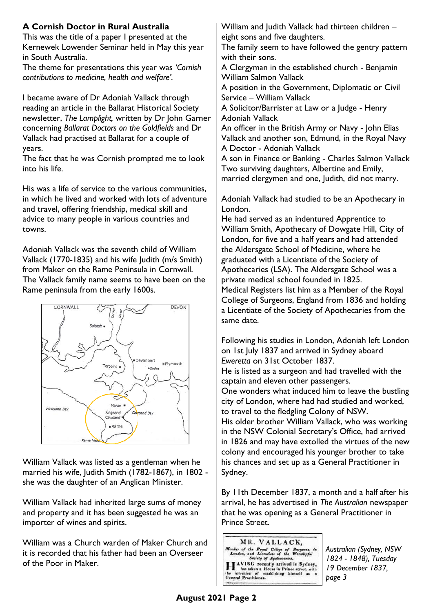## **A Cornish Doctor in Rural Australia**

This was the title of a paper I presented at the Kernewek Lowender Seminar held in May this year in South Australia.

The theme for presentations this year was *'Cornish contributions to medicine, health and welfare'.*

I became aware of Dr Adoniah Vallack through reading an article in the Ballarat Historical Society newsletter, *The Lamplight,* written by Dr John Garner concerning *Ballarat Doctors on the Goldfields* and Dr Vallack had practised at Ballarat for a couple of years.

The fact that he was Cornish prompted me to look into his life.

His was a life of service to the various communities, in which he lived and worked with lots of adventure and travel, offering friendship, medical skill and advice to many people in various countries and towns.

Adoniah Vallack was the seventh child of William Vallack (1770-1835) and his wife Judith (m/s Smith) from Maker on the Rame Peninsula in Cornwall. The Vallack family name seems to have been on the Rame peninsula from the early 1600s.



William Vallack was listed as a gentleman when he married his wife, Judith Smith (1782-1867), in 1802 she was the daughter of an Anglican Minister.

William Vallack had inherited large sums of money and property and it has been suggested he was an importer of wines and spirits.

William was a Church warden of Maker Church and it is recorded that his father had been an Overseer of the Poor in Maker.

William and Judith Vallack had thirteen children – eight sons and five daughters.

The family seem to have followed the gentry pattern with their sons.

A Clergyman in the established church - Benjamin William Salmon Vallack

A position in the Government, Diplomatic or Civil Service – William Vallack

A Solicitor/Barrister at Law or a Judge - Henry Adoniah Vallack

An officer in the British Army or Navy - John Elias Vallack and another son, Edmund, in the Royal Navy A Doctor - Adoniah Vallack

A son in Finance or Banking - Charles Salmon Vallack Two surviving daughters, Albertine and Emily, married clergymen and one, Judith, did not marry.

Adoniah Vallack had studied to be an Apothecary in London.

He had served as an indentured Apprentice to William Smith, Apothecary of Dowgate Hill, City of London, for five and a half years and had attended the Aldersgate School of Medicine, where he graduated with a Licentiate of the Society of Apothecaries (LSA). The Aldersgate School was a private medical school founded in 1825. Medical Registers list him as a Member of the Royal College of Surgeons, England from 1836 and holding a Licentiate of the Society of Apothecaries from the same date.

Following his studies in London, Adoniah left London on 1st July 1837 and arrived in Sydney aboard *Eweretta* on 31st October 1837. He is listed as a surgeon and had travelled with the captain and eleven other passengers. One wonders what induced him to leave the bustling city of London, where had had studied and worked, to travel to the fledgling Colony of NSW. His older brother William Vallack, who was working in the NSW Colonial Secretary's Office, had arrived in 1826 and may have extolled the virtues of the new colony and encouraged his younger brother to take his chances and set up as a General Practitioner in Sydney.

By 11th December 1837, a month and a half after his arrival, he has advertised in *The Australian* newspaper that he was opening as a General Practitioner in Prince Street.



*Australian (Sydney, NSW 1824 - 1848), Tuesday 19 December 1837, page 3*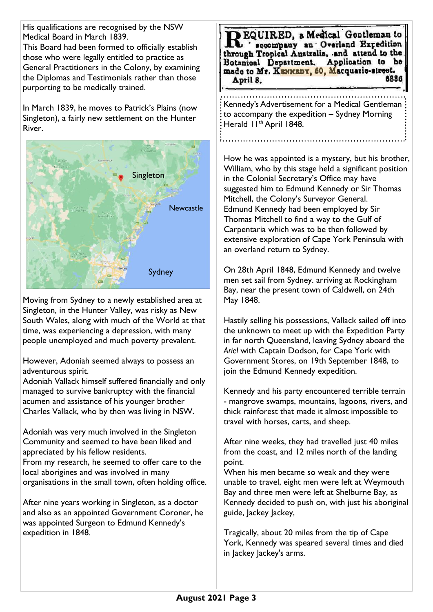His qualifications are recognised by the NSW Medical Board in March 1839.

This Board had been formed to officially establish those who were legally entitled to practice as General Practitioners in the Colony, by examining the Diplomas and Testimonials rather than those purporting to be medically trained.

In March 1839, he moves to Patrick's Plains (now Singleton), a fairly new settlement on the Hunter River.



Moving from Sydney to a newly established area at Singleton, in the Hunter Valley, was risky as New South Wales, along with much of the World at that time, was experiencing a depression, with many people unemployed and much poverty prevalent.

However, Adoniah seemed always to possess an adventurous spirit.

Adoniah Vallack himself suffered financially and only managed to survive bankruptcy with the financial acumen and assistance of his younger brother Charles Vallack, who by then was living in NSW.

Adoniah was very much involved in the Singleton Community and seemed to have been liked and appreciated by his fellow residents.

From my research, he seemed to offer care to the local aborigines and was involved in many organisations in the small town, often holding office.

After nine years working in Singleton, as a doctor and also as an appointed Government Coroner, he was appointed Surgeon to Edmund Kennedy's expedition in 1848.

EQUIRED, a Medical Gentleman to scoompany an Overland Expedition through Tropical Australia, and attend to the Application to be Botanical Department. made to Mr. KENNEDY, 50, Macquarie-street. 6886 April 8.

Kennedy's Advertisement for a Medical Gentleman to accompany the expedition – Sydney Morning Herald II<sup>th</sup> April 1848.

How he was appointed is a mystery, but his brother, William, who by this stage held a significant position in the Colonial Secretary's Office may have suggested him to Edmund Kennedy or Sir Thomas Mitchell, the Colony's Surveyor General. Edmund Kennedy had been employed by Sir Thomas Mitchell to find a way to the Gulf of Carpentaria which was to be then followed by extensive exploration of Cape York Peninsula with an overland return to Sydney.

On 28th April 1848, Edmund Kennedy and twelve men set sail from Sydney. arriving at Rockingham Bay, near the present town of Caldwell, on 24th May 1848.

Hastily selling his possessions, Vallack sailed off into the unknown to meet up with the Expedition Party in far north Queensland, leaving Sydney aboard the *Ariel* with Captain Dodson, for Cape York with Government Stores, on 19th September 1848, to join the Edmund Kennedy expedition.

Kennedy and his party encountered terrible terrain - mangrove swamps, mountains, lagoons, rivers, and thick rainforest that made it almost impossible to travel with horses, carts, and sheep.

After nine weeks, they had travelled just 40 miles from the coast, and 12 miles north of the landing point.

When his men became so weak and they were unable to travel, eight men were left at Weymouth Bay and three men were left at Shelburne Bay, as Kennedy decided to push on, with just his aboriginal guide, Jackey Jackey,

Tragically, about 20 miles from the tip of Cape York, Kennedy was speared several times and died in Jackey Jackey's arms.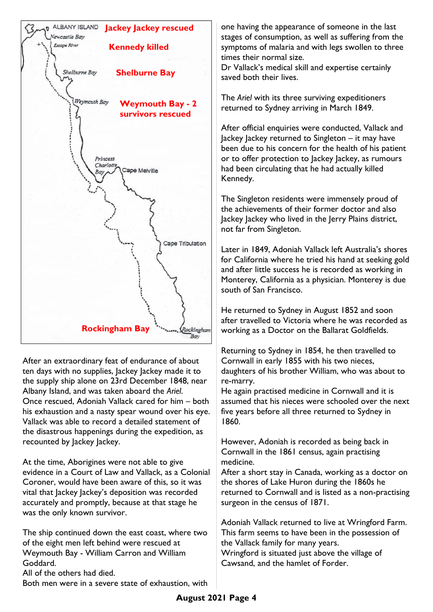

After an extraordinary feat of endurance of about ten days with no supplies, Jackey Jackey made it to the supply ship alone on 23rd December 1848, near Albany Island, and was taken aboard the *Ariel*. Once rescued, Adoniah Vallack cared for him – both his exhaustion and a nasty spear wound over his eye. Vallack was able to record a detailed statement of the disastrous happenings during the expedition, as recounted by Jackey Jackey.

At the time, Aborigines were not able to give evidence in a Court of Law and Vallack, as a Colonial Coroner, would have been aware of this, so it was vital that lackey lackey's deposition was recorded accurately and promptly, because at that stage he was the only known survivor.

The ship continued down the east coast, where two of the eight men left behind were rescued at Weymouth Bay - William Carron and William Goddard.

All of the others had died.

Both men were in a severe state of exhaustion, with

one having the appearance of someone in the last stages of consumption, as well as suffering from the symptoms of malaria and with legs swollen to three times their normal size.

Dr Vallack's medical skill and expertise certainly saved both their lives.

The *Ariel* with its three surviving expeditioners returned to Sydney arriving in March 1849.

After official enquiries were conducted, Vallack and Jackey Jackey returned to Singleton – it may have been due to his concern for the health of his patient or to offer protection to Jackey Jackey, as rumours had been circulating that he had actually killed Kennedy.

The Singleton residents were immensely proud of the achievements of their former doctor and also lackey lackey who lived in the Jerry Plains district, not far from Singleton.

Later in 1849, Adoniah Vallack left Australia's shores for California where he tried his hand at seeking gold and after little success he is recorded as working in Monterey, California as a physician. Monterey is due south of San Francisco.

He returned to Sydney in August 1852 and soon after travelled to Victoria where he was recorded as working as a Doctor on the Ballarat Goldfields.

Returning to Sydney in 1854, he then travelled to Cornwall in early 1855 with his two nieces, daughters of his brother William, who was about to re-marry.

He again practised medicine in Cornwall and it is assumed that his nieces were schooled over the next five years before all three returned to Sydney in 1860.

However, Adoniah is recorded as being back in Cornwall in the 1861 census, again practising medicine.

After a short stay in Canada, working as a doctor on the shores of Lake Huron during the 1860s he returned to Cornwall and is listed as a non-practising surgeon in the census of 1871.

Adoniah Vallack returned to live at Wringford Farm. This farm seems to have been in the possession of the Vallack family for many years. Wringford is situated just above the village of Cawsand, and the hamlet of Forder.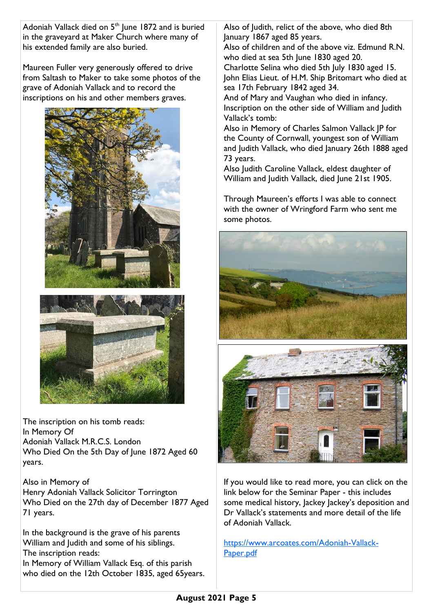Adoniah Vallack died on  $5<sup>th</sup>$  June 1872 and is buried in the graveyard at Maker Church where many of his extended family are also buried.

Maureen Fuller very generously offered to drive from Saltash to Maker to take some photos of the grave of Adoniah Vallack and to record the inscriptions on his and other members graves.





The inscription on his tomb reads: In Memory Of Adoniah Vallack M.R.C.S. London Who Died On the 5th Day of June 1872 Aged 60 years.

Also in Memory of Henry Adoniah Vallack Solicitor Torrington Who Died on the 27th day of December 1877 Aged 71 years.

In the background is the grave of his parents William and Judith and some of his siblings. The inscription reads: In Memory of William Vallack Esq. of this parish who died on the 12th October 1835, aged 65years. Also of Judith, relict of the above, who died 8th January 1867 aged 85 years.

Also of children and of the above viz. Edmund R.N. who died at sea 5th June 1830 aged 20.

Charlotte Selina who died 5th July 1830 aged 15. John Elias Lieut. of H.M. Ship Britomart who died at sea 17th February 1842 aged 34.

And of Mary and Vaughan who died in infancy. Inscription on the other side of William and Judith Vallack's tomb:

Also in Memory of Charles Salmon Vallack JP for the County of Cornwall, youngest son of William and Judith Vallack, who died January 26th 1888 aged 73 years.

Also Judith Caroline Vallack, eldest daughter of William and Judith Vallack, died June 21st 1905.

Through Maureen's efforts I was able to connect with the owner of Wringford Farm who sent me some photos.





If you would like to read more, you can click on the link below for the Seminar Paper - this includes some medical history, Jackey Jackey's deposition and Dr Vallack's statements and more detail of the life of Adoniah Vallack.

[https://www.arcoates.com/Adoniah-Vallack-](https://www.arcoates.com/Adoniah-Vallack-Paper.pdf)[Paper.pdf](https://www.arcoates.com/Adoniah-Vallack-Paper.pdf)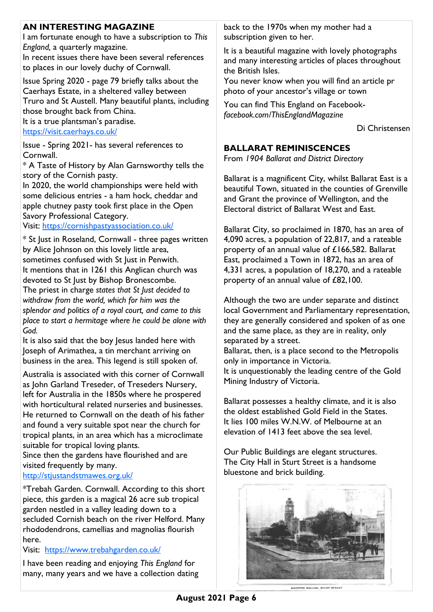## **AN INTERESTING MAGAZINE**

I am fortunate enough to have a subscription to *This England,* a quarterly magazine.

In recent issues there have been several references to places in our lovely duchy of Cornwall.

Issue Spring 2020 - page 79 briefly talks about the Caerhays Estate, in a sheltered valley between Truro and St Austell. Many beautiful plants, including those brought back from China.

It is a true plantsman's paradise.

<https://visit.caerhays.co.uk/>

Issue - Spring 2021- has several references to Cornwall.

\* A Taste of History by Alan Garnsworthy tells the story of the Cornish pasty.

In 2020, the world championships were held with some delicious entries - a ham hock, cheddar and apple chutney pasty took first place in the Open Savory Professional Category.

Visit:<https://cornishpastyassociation.co.uk/>

\* St Just in Roseland, Cornwall - three pages written by Alice Johnson on this lovely little area, sometimes confused with St Just in Penwith. It mentions that in 1261 this Anglican church was devoted to St Just by Bishop Bronescombe. The priest in charge *states that St Just decided to withdraw from the world, which for him was the splendor and politics of a royal court, and came to this place to start a hermitage where he could be alone with God.*

It is also said that the boy Jesus landed here with Joseph of Arimathea, a tin merchant arriving on business in the area. This legend is still spoken of.

Australia is associated with this corner of Cornwall as John Garland Treseder, of Treseders Nursery, left for Australia in the 1850s where he prospered with horticultural related nurseries and businesses. He returned to Cornwall on the death of his father and found a very suitable spot near the church for tropical plants, in an area which has a microclimate suitable for tropical loving plants.

Since then the gardens have flourished and are visited frequently by many.

#### <http://stjustandstmawes.org.uk/>

\*Trebah Garden. Cornwall. According to this short piece, this garden is a magical 26 acre sub tropical garden nestled in a valley leading down to a secluded Cornish beach on the river Helford. Many rhododendrons, camellias and magnolias flourish here.

### Visit: <https://www.trebahgarden.co.uk/>

I have been reading and enjoying *This England* for many, many years and we have a collection dating back to the 1970s when my mother had a subscription given to her.

It is a beautiful magazine with lovely photographs and many interesting articles of places throughout the British Isles.

You never know when you will find an article pr photo of your ancestor's village or town

You can find This England on Facebook*facebook.com/ThisEnglandMagazine*

Di Christensen

### **BALLARAT REMINISCENCES**

From *1904 Ballarat and District Directory* 

Ballarat is a magnificent City, whilst Ballarat East is a beautiful Town, situated in the counties of Grenville and Grant the province of Wellington, and the Electoral district of Ballarat West and East.

Ballarat City, so proclaimed in 1870, has an area of 4,090 acres, a population of 22,817, and a rateable property of an annual value of £166,582. Ballarat East, proclaimed a Town in 1872, has an area of 4,331 acres, a population of 18,270, and a rateable property of an annual value of £82,100.

Although the two are under separate and distinct local Government and Parliamentary representation, they are generally considered and spoken of as one and the same place, as they are in reality, only separated by a street.

Ballarat, then, is a place second to the Metropolis only in importance in Victoria.

It is unquestionably the leading centre of the Gold Mining Industry of Victoria.

Ballarat possesses a healthy climate, and it is also the oldest established Gold Field in the States. It lies 100 miles W.N.W. of Melbourne at an elevation of 1413 feet above the sea level.

Our Public Buildings are elegant structures. The City Hall in Sturt Street is a handsome bluestone and brick building.



SHOPPEE SQUARE, STURT &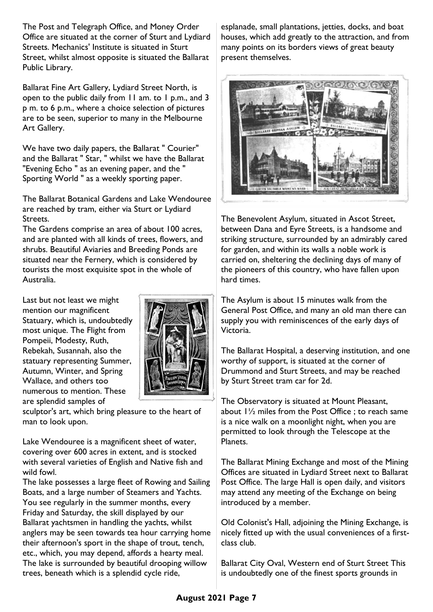The Post and Telegraph Office, and Money Order Office are situated at the corner of Sturt and Lydiard Streets. Mechanics' Institute is situated in Sturt Street, whilst almost opposite is situated the Ballarat Public Library.

Ballarat Fine Art Gallery, Lydiard Street North, is open to the public daily from 11 am. to 1 p.m., and 3 p m. to 6 p.m., where a choice selection of pictures are to be seen, superior to many in the Melbourne Art Gallery.

We have two daily papers, the Ballarat " Courier" and the Ballarat " Star, " whilst we have the Ballarat "Evening Echo " as an evening paper, and the " Sporting World " as a weekly sporting paper.

The Ballarat Botanical Gardens and Lake Wendouree are reached by tram, either via Sturt or Lydiard Streets.

The Gardens comprise an area of about 100 acres, and are planted with all kinds of trees, flowers, and shrubs. Beautiful Aviaries and Breeding Ponds are situated near the Fernery, which is considered by tourists the most exquisite spot in the whole of Australia.

Last but not least we might mention our magnificent Statuary, which is, undoubtedly most unique. The Flight from Pompeii, Modesty, Ruth, Rebekah, Susannah, also the statuary representing Summer, Autumn, Winter, and Spring Wallace, and others too numerous to mention. These are splendid samples of



sculptor's art, which bring pleasure to the heart of man to look upon.

Lake Wendouree is a magnificent sheet of water, covering over 600 acres in extent, and is stocked with several varieties of English and Native fish and wild fowl.

The lake possesses a large fleet of Rowing and Sailing Boats, and a large number of Steamers and Yachts. You see regularly in the summer months, every Friday and Saturday, the skill displayed by our Ballarat yachtsmen in handling the yachts, whilst anglers may be seen towards tea hour carrying home their afternoon's sport in the shape of trout, tench, etc., which, you may depend, affords a hearty meal. The lake is surrounded by beautiful drooping willow trees, beneath which is a splendid cycle ride,

esplanade, small plantations, jetties, docks, and boat houses, which add greatly to the attraction, and from many points on its borders views of great beauty present themselves.



The Benevolent Asylum, situated in Ascot Street, between Dana and Eyre Streets, is a handsome and striking structure, surrounded by an admirably cared for garden, and within its walls a noble work is carried on, sheltering the declining days of many of the pioneers of this country, who have fallen upon hard times.

The Asylum is about 15 minutes walk from the General Post Office, and many an old man there can supply you with reminiscences of the early days of Victoria.

The Ballarat Hospital, a deserving institution, and one worthy of support, is situated at the corner of Drummond and Sturt Streets, and may be reached by Sturt Street tram car for 2d.

The Observatory is situated at Mount Pleasant, about 1½ miles from the Post Office ; to reach same is a nice walk on a moonlight night, when you are permitted to look through the Telescope at the Planets.

The Ballarat Mining Exchange and most of the Mining Offices are situated in Lydiard Street next to Ballarat Post Office. The large Hall is open daily, and visitors may attend any meeting of the Exchange on being introduced by a member.

Old Colonist's Hall, adjoining the Mining Exchange, is nicely fitted up with the usual conveniences of a firstclass club.

Ballarat City Oval, Western end of Sturt Street This is undoubtedly one of the finest sports grounds in